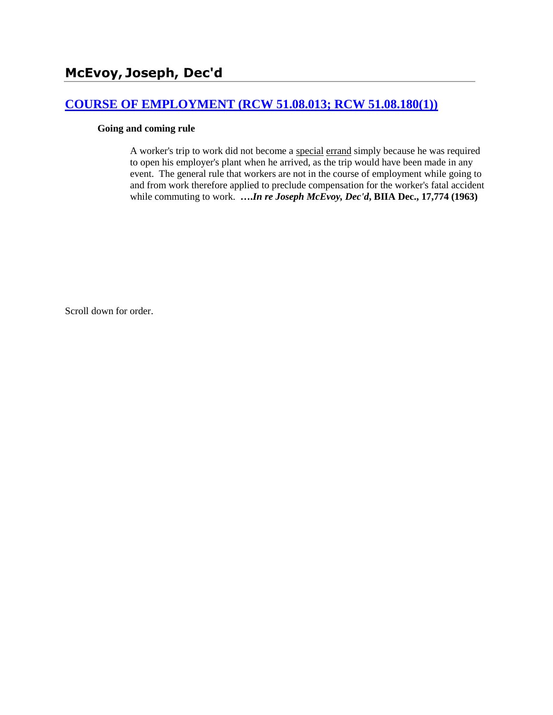# **[COURSE OF EMPLOYMENT \(RCW 51.08.013; RCW 51.08.180\(1\)\)](http://www.biia.wa.gov/SDSubjectIndex.html#COURSE_OF_EMPLOYMENT)**

### **Going and coming rule**

A worker's trip to work did not become a special errand simply because he was required to open his employer's plant when he arrived, as the trip would have been made in any event. The general rule that workers are not in the course of employment while going to and from work therefore applied to preclude compensation for the worker's fatal accident while commuting to work. **….***In re Joseph McEvoy, Dec'd***, BIIA Dec., 17,774 (1963)** 

Scroll down for order.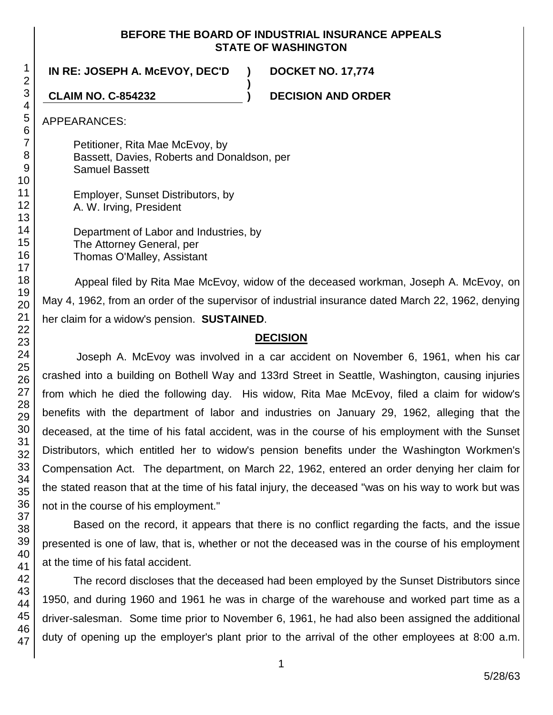### **BEFORE THE BOARD OF INDUSTRIAL INSURANCE APPEALS STATE OF WASHINGTON**

**)**

**IN RE: JOSEPH A. McEVOY, DEC'D ) DOCKET NO. 17,774**

**CLAIM NO. C-854232 ) DECISION AND ORDER**

APPEARANCES:

Petitioner, Rita Mae McEvoy, by Bassett, Davies, Roberts and Donaldson, per Samuel Bassett

Employer, Sunset Distributors, by A. W. Irving, President

Department of Labor and Industries, by The Attorney General, per Thomas O'Malley, Assistant

Appeal filed by Rita Mae McEvoy, widow of the deceased workman, Joseph A. McEvoy, on May 4, 1962, from an order of the supervisor of industrial insurance dated March 22, 1962, denying her claim for a widow's pension. **SUSTAINED**.

### **DECISION**

Joseph A. McEvoy was involved in a car accident on November 6, 1961, when his car crashed into a building on Bothell Way and 133rd Street in Seattle, Washington, causing injuries from which he died the following day. His widow, Rita Mae McEvoy, filed a claim for widow's benefits with the department of labor and industries on January 29, 1962, alleging that the deceased, at the time of his fatal accident, was in the course of his employment with the Sunset Distributors, which entitled her to widow's pension benefits under the Washington Workmen's Compensation Act. The department, on March 22, 1962, entered an order denying her claim for the stated reason that at the time of his fatal injury, the deceased "was on his way to work but was not in the course of his employment."

Based on the record, it appears that there is no conflict regarding the facts, and the issue presented is one of law, that is, whether or not the deceased was in the course of his employment at the time of his fatal accident.

The record discloses that the deceased had been employed by the Sunset Distributors since 1950, and during 1960 and 1961 he was in charge of the warehouse and worked part time as a driver-salesman. Some time prior to November 6, 1961, he had also been assigned the additional duty of opening up the employer's plant prior to the arrival of the other employees at 8:00 a.m.

1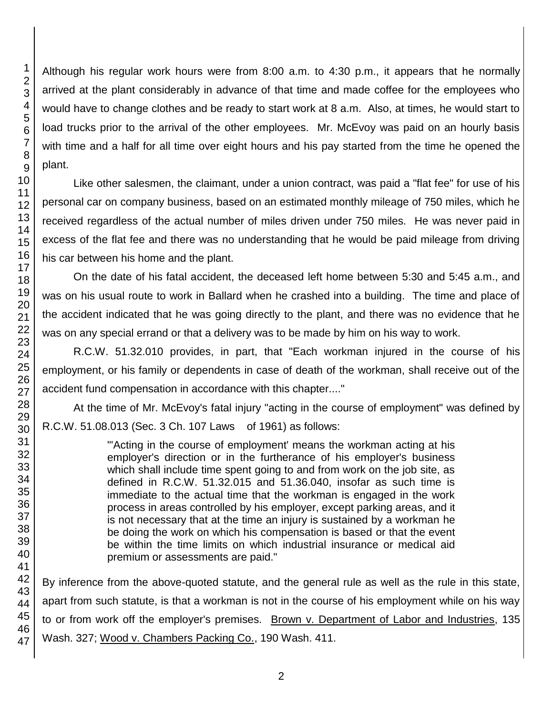1 2 3 Although his regular work hours were from 8:00 a.m. to 4:30 p.m., it appears that he normally arrived at the plant considerably in advance of that time and made coffee for the employees who would have to change clothes and be ready to start work at 8 a.m. Also, at times, he would start to load trucks prior to the arrival of the other employees. Mr. McEvoy was paid on an hourly basis with time and a half for all time over eight hours and his pay started from the time he opened the

Like other salesmen, the claimant, under a union contract, was paid a "flat fee" for use of his personal car on company business, based on an estimated monthly mileage of 750 miles, which he received regardless of the actual number of miles driven under 750 miles. He was never paid in excess of the flat fee and there was no understanding that he would be paid mileage from driving his car between his home and the plant.

On the date of his fatal accident, the deceased left home between 5:30 and 5:45 a.m., and was on his usual route to work in Ballard when he crashed into a building. The time and place of the accident indicated that he was going directly to the plant, and there was no evidence that he was on any special errand or that a delivery was to be made by him on his way to work.

R.C.W. 51.32.010 provides, in part, that "Each workman injured in the course of his employment, or his family or dependents in case of death of the workman, shall receive out of the accident fund compensation in accordance with this chapter...."

At the time of Mr. McEvoy's fatal injury "acting in the course of employment" was defined by R.C.W. 51.08.013 (Sec. 3 Ch. 107 Laws of 1961) as follows:

> "'Acting in the course of employment' means the workman acting at his employer's direction or in the furtherance of his employer's business which shall include time spent going to and from work on the job site, as defined in R.C.W. 51.32.015 and 51.36.040, insofar as such time is immediate to the actual time that the workman is engaged in the work process in areas controlled by his employer, except parking areas, and it is not necessary that at the time an injury is sustained by a workman he be doing the work on which his compensation is based or that the event be within the time limits on which industrial insurance or medical aid premium or assessments are paid."

46 47 By inference from the above-quoted statute, and the general rule as well as the rule in this state, apart from such statute, is that a workman is not in the course of his employment while on his way to or from work off the employer's premises. Brown v. Department of Labor and Industries, 135 Wash. 327; Wood v. Chambers Packing Co., 190 Wash. 411.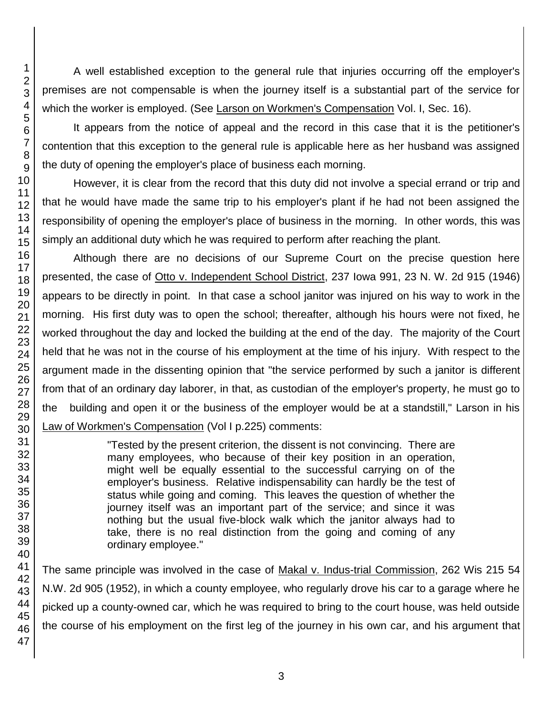A well established exception to the general rule that injuries occurring off the employer's premises are not compensable is when the journey itself is a substantial part of the service for which the worker is employed. (See Larson on Workmen's Compensation Vol. I, Sec. 16).

It appears from the notice of appeal and the record in this case that it is the petitioner's contention that this exception to the general rule is applicable here as her husband was assigned the duty of opening the employer's place of business each morning.

However, it is clear from the record that this duty did not involve a special errand or trip and that he would have made the same trip to his employer's plant if he had not been assigned the responsibility of opening the employer's place of business in the morning. In other words, this was simply an additional duty which he was required to perform after reaching the plant.

Although there are no decisions of our Supreme Court on the precise question here presented, the case of Otto v. Independent School District, 237 Iowa 991, 23 N. W. 2d 915 (1946) appears to be directly in point. In that case a school janitor was injured on his way to work in the morning. His first duty was to open the school; thereafter, although his hours were not fixed, he worked throughout the day and locked the building at the end of the day. The majority of the Court held that he was not in the course of his employment at the time of his injury. With respect to the argument made in the dissenting opinion that "the service performed by such a janitor is different from that of an ordinary day laborer, in that, as custodian of the employer's property, he must go to the building and open it or the business of the employer would be at a standstill," Larson in his Law of Workmen's Compensation (Vol I p.225) comments:

> "Tested by the present criterion, the dissent is not convincing. There are many employees, who because of their key position in an operation, might well be equally essential to the successful carrying on of the employer's business. Relative indispensability can hardly be the test of status while going and coming. This leaves the question of whether the journey itself was an important part of the service; and since it was nothing but the usual five-block walk which the janitor always had to take, there is no real distinction from the going and coming of any ordinary employee."

The same principle was involved in the case of Makal v. Indus-trial Commission, 262 Wis 215 54 N.W. 2d 905 (1952), in which a county employee, who regularly drove his car to a garage where he picked up a county-owned car, which he was required to bring to the court house, was held outside the course of his employment on the first leg of the journey in his own car, and his argument that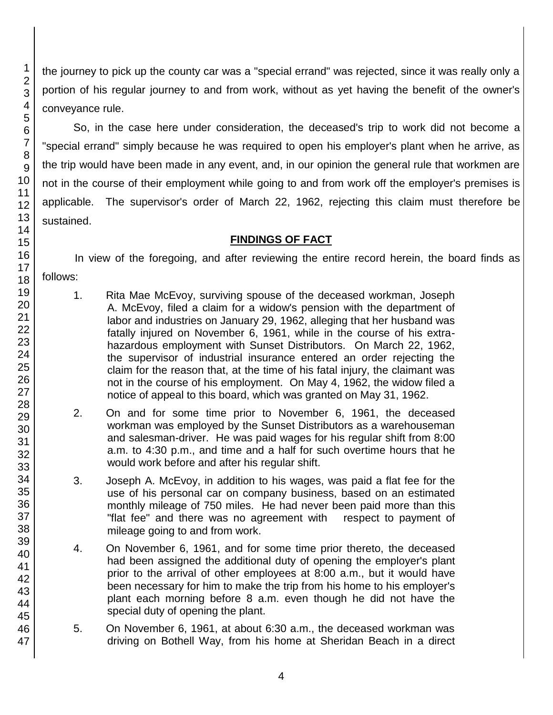the journey to pick up the county car was a "special errand" was rejected, since it was really only a portion of his regular journey to and from work, without as yet having the benefit of the owner's conveyance rule.

So, in the case here under consideration, the deceased's trip to work did not become a "special errand" simply because he was required to open his employer's plant when he arrive, as the trip would have been made in any event, and, in our opinion the general rule that workmen are not in the course of their employment while going to and from work off the employer's premises is applicable. The supervisor's order of March 22, 1962, rejecting this claim must therefore be sustained.

## **FINDINGS OF FACT**

In view of the foregoing, and after reviewing the entire record herein, the board finds as follows:

- 1. Rita Mae McEvoy, surviving spouse of the deceased workman, Joseph A. McEvoy, filed a claim for a widow's pension with the department of labor and industries on January 29, 1962, alleging that her husband was fatally injured on November 6, 1961, while in the course of his extrahazardous employment with Sunset Distributors. On March 22, 1962, the supervisor of industrial insurance entered an order rejecting the claim for the reason that, at the time of his fatal injury, the claimant was not in the course of his employment. On May 4, 1962, the widow filed a notice of appeal to this board, which was granted on May 31, 1962.
- 2. On and for some time prior to November 6, 1961, the deceased workman was employed by the Sunset Distributors as a warehouseman and salesman-driver. He was paid wages for his regular shift from 8:00 a.m. to 4:30 p.m., and time and a half for such overtime hours that he would work before and after his regular shift.
- 3. Joseph A. McEvoy, in addition to his wages, was paid a flat fee for the use of his personal car on company business, based on an estimated monthly mileage of 750 miles. He had never been paid more than this "flat fee" and there was no agreement with respect to payment of mileage going to and from work.
- 4. On November 6, 1961, and for some time prior thereto, the deceased had been assigned the additional duty of opening the employer's plant prior to the arrival of other employees at 8:00 a.m., but it would have been necessary for him to make the trip from his home to his employer's plant each morning before 8 a.m. even though he did not have the special duty of opening the plant.
- 5. On November 6, 1961, at about 6:30 a.m., the deceased workman was driving on Bothell Way, from his home at Sheridan Beach in a direct